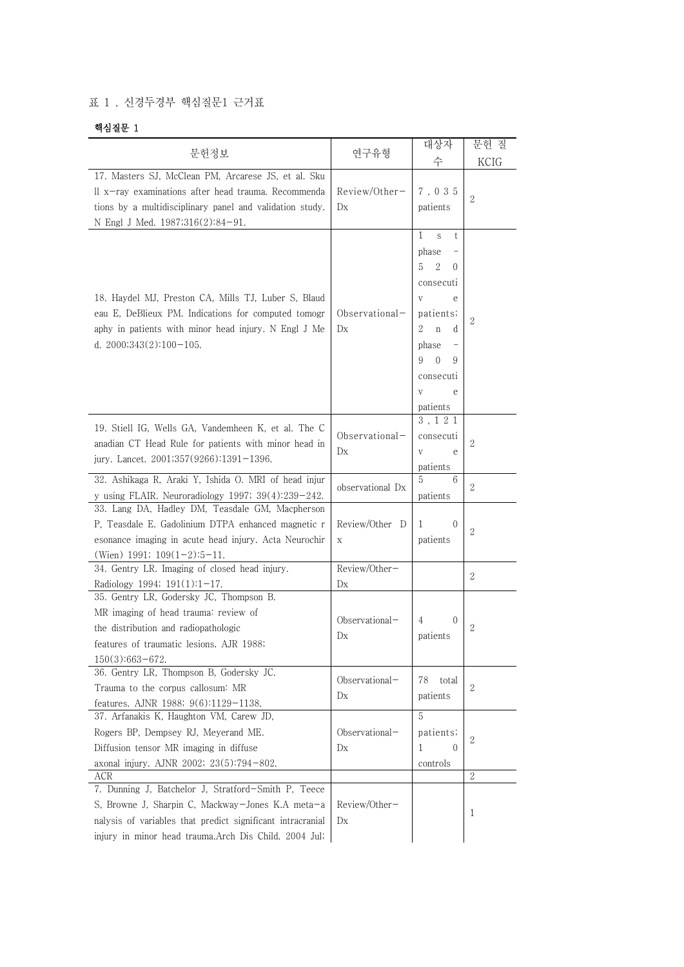## 표 1 . 신경두경부 핵심질문1 근거표

## 핵심질문 1

| 핵심질눈 1                                                                                                                                                                                                                                |                                          |                                                                                                                                                                                           |                |
|---------------------------------------------------------------------------------------------------------------------------------------------------------------------------------------------------------------------------------------|------------------------------------------|-------------------------------------------------------------------------------------------------------------------------------------------------------------------------------------------|----------------|
| 문헌정보                                                                                                                                                                                                                                  | 연구유형                                     | 대상자                                                                                                                                                                                       | 문헌 질           |
|                                                                                                                                                                                                                                       |                                          | 수                                                                                                                                                                                         | KCIG           |
| 17. Masters SJ, McClean PM, Arcarese JS, et al. Sku<br>ll x-ray examinations after head trauma. Recommenda<br>tions by a multidisciplinary panel and validation study.<br>N Engl J Med. 1987;316(2):84-91.                            | Review/Other-<br>D <sub>X</sub>          | 7,035<br>patients                                                                                                                                                                         | 2              |
| 18. Haydel MJ, Preston CA, Mills TJ, Luber S, Blaud<br>eau E, DeBlieux PM. Indications for computed tomogr<br>aphy in patients with minor head injury. N Engl J Me<br>d. $2000;343(2):100-105$ .                                      | Observational-<br>Dx                     | 1<br>t<br>S<br>phase<br>5<br>2<br>$\theta$<br>consecuti<br>V<br>е<br>patients;<br>2<br>$\mathbf n$<br>d<br>phase<br>9<br>$\overline{0}$<br>9<br>consecuti<br>$\mathbf V$<br>e<br>patients | 2              |
| 19. Stiell IG, Wells GA, Vandemheen K, et al. The C<br>anadian CT Head Rule for patients with minor head in<br>jury. Lancet. 2001;357(9266):1391-1396.                                                                                | Observational-<br>D <sub>X</sub>         | 3,121<br>consecuti<br>$\rm{V}$<br>е<br>patients                                                                                                                                           | $\overline{2}$ |
| 32. Ashikaga R, Araki Y, Ishida O. MRI of head injur<br>y using FLAIR. Neuroradiology 1997; $39(4):239-242$ .                                                                                                                         | observational Dx                         | 5<br>6<br>patients                                                                                                                                                                        | 2              |
| 33. Lang DA, Hadley DM, Teasdale GM, Macpherson<br>P, Teasdale E. Gadolinium DTPA enhanced magnetic r<br>esonance imaging in acute head injury. Acta Neurochir<br>(Wien) 1991; $109(1-2):5-11$ .                                      | Review/Other D<br>X                      | $\theta$<br>1<br>patients                                                                                                                                                                 | 2              |
| 34. Gentry LR. Imaging of closed head injury.<br>Radiology 1994; $191(1):1-17$ .                                                                                                                                                      | Review/Other-<br>D <sub>X</sub>          |                                                                                                                                                                                           | 2              |
| 35. Gentry LR, Godersky JC, Thompson B.<br>MR imaging of head trauma: review of<br>the distribution and radiopathologic<br>features of traumatic lesions. AJR 1988;<br>$150(3):663-672.$                                              | Observational-<br>$\mathbf{D}\mathbf{x}$ | 4<br>$\theta$<br>patients                                                                                                                                                                 | 2              |
| 36. Gentry LR, Thompson B, Godersky JC.<br>Trauma to the corpus callosum: MR<br>features. AJNR 1988; 9(6):1129-1138.                                                                                                                  | Observational-<br>Dx                     | 78<br>$_{\rm total}$<br>patients                                                                                                                                                          | 2              |
| 37. Arfanakis K, Haughton VM, Carew JD,<br>Rogers BP, Dempsey RJ, Meyerand ME.<br>Diffusion tensor MR imaging in diffuse<br>axonal injury. AJNR 2002; 23(5):794-802.                                                                  | Observational-<br>D <sub>X</sub>         | 5<br>patients;<br>1<br>$\Omega$<br>controls                                                                                                                                               | $\overline{2}$ |
| ACR<br>7. Dunning J, Batchelor J, Stratford-Smith P, Teece<br>S, Browne J, Sharpin C, Mackway-Jones K.A meta-a<br>nalysis of variables that predict significant intracranial<br>injury in minor head trauma.Arch Dis Child. 2004 Jul; | Review/Other-<br>Dx                      |                                                                                                                                                                                           | 2<br>1         |